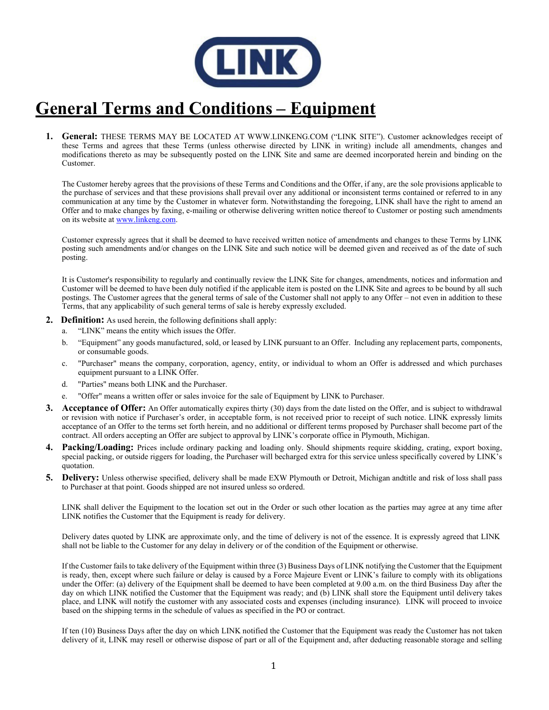

## **General Terms and Conditions – Equipment**

**1. General:** THESE TERMS MAY BE LOCATED AT WWW.LINKENG.COM ("LINK SITE"). Customer acknowledges receipt of these Terms and agrees that these Terms (unless otherwise directed by LINK in writing) include all amendments, changes and modifications thereto as may be subsequently posted on the LINK Site and same are deemed incorporated herein and binding on the Customer.

The Customer hereby agrees that the provisions of these Terms and Conditions and the Offer, if any, are the sole provisions applicable to the purchase of services and that these provisions shall prevail over any additional or inconsistent terms contained or referred to in any communication at any time by the Customer in whatever form. Notwithstanding the foregoing, LINK shall have the right to amend an Offer and to make changes by faxing, e-mailing or otherwise delivering written notice thereof to Customer or posting such amendments on its website a[t www.linkeng.com.](http://www.linkeng.com/)

Customer expressly agrees that it shall be deemed to have received written notice of amendments and changes to these Terms by LINK posting such amendments and/or changes on the LINK Site and such notice will be deemed given and received as of the date of such posting.

It is Customer's responsibility to regularly and continually review the LINK Site for changes, amendments, notices and information and Customer will be deemed to have been duly notified if the applicable item is posted on the LINK Site and agrees to be bound by all such postings. The Customer agrees that the general terms of sale of the Customer shall not apply to any Offer – not even in addition to these Terms, that any applicability of such general terms of sale is hereby expressly excluded.

- **2. Definition:** As used herein, the following definitions shall apply:
	- a. "LINK" means the entity which issues the Offer.
	- b. "Equipment" any goods manufactured, sold, or leased by LINK pursuant to an Offer. Including any replacement parts, components, or consumable goods.
	- c. "Purchaser" means the company, corporation, agency, entity, or individual to whom an Offer is addressed and which purchases equipment pursuant to a LINK Offer.
	- d. "Parties" means both LINK and the Purchaser.
	- e. "Offer" means a written offer or sales invoice for the sale of Equipment by LINK to Purchaser.
- **3. Acceptance of Offer:** An Offer automatically expires thirty (30) days from the date listed on the Offer, and is subject to withdrawal or revision with notice if Purchaser's order, in acceptable form, is not received prior to receipt of such notice. LINK expressly limits acceptance of an Offer to the terms set forth herein, and no additional or different terms proposed by Purchaser shall become part of the contract. All orders accepting an Offer are subject to approval by LINK's corporate office in Plymouth, Michigan.
- **4. Packing/Loading:** Prices include ordinary packing and loading only. Should shipments require skidding, crating, export boxing, special packing, or outside riggers for loading, the Purchaser will becharged extra for this service unless specifically covered by LINK's quotation.
- **5. Delivery:** Unless otherwise specified, delivery shall be made EXW Plymouth or Detroit, Michigan andtitle and risk of loss shall pass to Purchaser at that point. Goods shipped are not insured unless so ordered.

LINK shall deliver the Equipment to the location set out in the Order or such other location as the parties may agree at any time after LINK notifies the Customer that the Equipment is ready for delivery.

Delivery dates quoted by LINK are approximate only, and the time of delivery is not of the essence. It is expressly agreed that LINK shall not be liable to the Customer for any delay in delivery or of the condition of the Equipment or otherwise.

If the Customer fails to take delivery of the Equipment within three (3) Business Days of LINK notifying the Customer that the Equipment is ready, then, except where such failure or delay is caused by a Force Majeure Event or LINK's failure to comply with its obligations under the Offer: (a) delivery of the Equipment shall be deemed to have been completed at 9.00 a.m. on the third Business Day after the day on which LINK notified the Customer that the Equipment was ready; and (b) LINK shall store the Equipment until delivery takes place, and LINK will notify the customer with any associated costs and expenses (including insurance). LINK will proceed to invoice based on the shipping terms in the schedule of values as specified in the PO or contract.

If ten (10) Business Days after the day on which LINK notified the Customer that the Equipment was ready the Customer has not taken delivery of it, LINK may resell or otherwise dispose of part or all of the Equipment and, after deducting reasonable storage and selling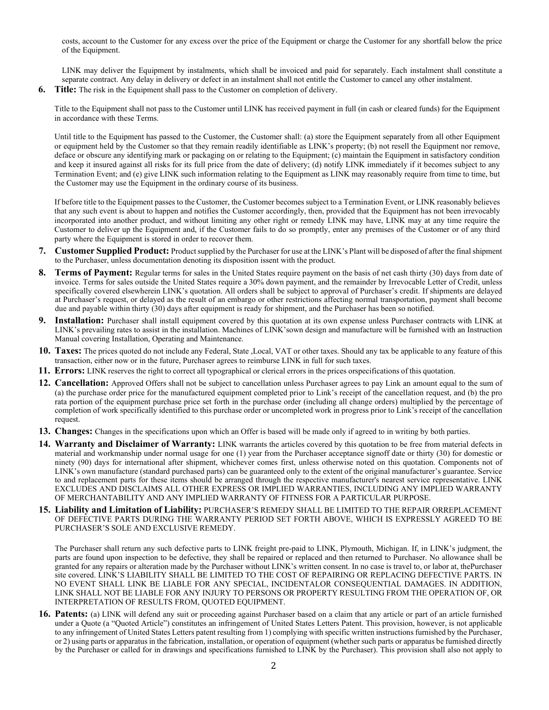costs, account to the Customer for any excess over the price of the Equipment or charge the Customer for any shortfall below the price of the Equipment.

LINK may deliver the Equipment by instalments, which shall be invoiced and paid for separately. Each instalment shall constitute a separate contract. Any delay in delivery or defect in an instalment shall not entitle the Customer to cancel any other instalment.

**6. Title:** The risk in the Equipment shall pass to the Customer on completion of delivery.

Title to the Equipment shall not pass to the Customer until LINK has received payment in full (in cash or cleared funds) for the Equipment in accordance with these Terms.

Until title to the Equipment has passed to the Customer, the Customer shall: (a) store the Equipment separately from all other Equipment or equipment held by the Customer so that they remain readily identifiable as LINK's property; (b) not resell the Equipment nor remove, deface or obscure any identifying mark or packaging on or relating to the Equipment; (c) maintain the Equipment in satisfactory condition and keep it insured against all risks for its full price from the date of delivery; (d) notify LINK immediately if it becomes subject to any Termination Event; and (e) give LINK such information relating to the Equipment as LINK may reasonably require from time to time, but the Customer may use the Equipment in the ordinary course of its business.

If before title to the Equipment passes to the Customer, the Customer becomes subject to a Termination Event, or LINK reasonably believes that any such event is about to happen and notifies the Customer accordingly, then, provided that the Equipment has not been irrevocably incorporated into another product, and without limiting any other right or remedy LINK may have, LINK may at any time require the Customer to deliver up the Equipment and, if the Customer fails to do so promptly, enter any premises of the Customer or of any third party where the Equipment is stored in order to recover them.

- **7. Customer Supplied Product:** Product supplied by the Purchaser for use at the LINK's Plant will be disposed of after the final shipment to the Purchaser, unless documentation denoting its disposition issent with the product.
- **8. Terms of Payment:** Regular terms for sales in the United States require payment on the basis of net cash thirty (30) days from date of invoice. Terms for sales outside the United States require a 30% down payment, and the remainder by Irrevocable Letter of Credit, unless specifically covered elsewherein LINK's quotation. All orders shall be subject to approval of Purchaser's credit. If shipments are delayed at Purchaser's request, or delayed as the result of an embargo or other restrictions affecting normal transportation, payment shall become due and payable within thirty (30) days after equipment is ready for shipment, and the Purchaser has been so notified.
- **9. Installation:** Purchaser shall install equipment covered by this quotation at its own expense unless Purchaser contracts with LINK at LINK's prevailing rates to assist in the installation. Machines of LINK'sown design and manufacture will be furnished with an Instruction Manual covering Installation, Operating and Maintenance.
- **10. Taxes:** The prices quoted do not include any Federal, State ,Local, VAT or other taxes. Should any tax be applicable to any feature of this transaction, either now or in the future, Purchaser agrees to reimburse LINK in full for such taxes.
- **11. Errors:** LINK reserves the right to correct all typographical or clerical errors in the prices orspecifications of this quotation.
- **12. Cancellation:** Approved Offers shall not be subject to cancellation unless Purchaser agrees to pay Link an amount equal to the sum of (a) the purchase order price for the manufactured equipment completed prior to Link's receipt of the cancellation request, and (b) the pro rata portion of the equipment purchase price set forth in the purchase order (including all change orders) multiplied by the percentage of completion of work specifically identified to this purchase order or uncompleted work in progress prior to Link's receipt of the cancellation request.
- **13. Changes:** Changes in the specifications upon which an Offer is based will be made only if agreed to in writing by both parties.
- **14. Warranty and Disclaimer of Warranty:** LINK warrants the articles covered by this quotation to be free from material defects in material and workmanship under normal usage for one (1) year from the Purchaser acceptance signoff date or thirty (30) for domestic or ninety (90) days for international after shipment, whichever comes first, unless otherwise noted on this quotation. Components not of LINK's own manufacture (standard purchased parts) can be guaranteed only to the extent of the original manufacturer's guarantee. Service to and replacement parts for these items should be arranged through the respective manufacturer's nearest service representative. LINK EXCLUDES AND DISCLAIMS ALL OTHER EXPRESS OR IMPLIED WARRANTIES, INCLUDING ANY IMPLIED WARRANTY OF MERCHANTABILITY AND ANY IMPLIED WARRANTY OF FITNESS FOR A PARTICULAR PURPOSE.
- **15. Liability and Limitation of Liability:** PURCHASER'S REMEDY SHALL BE LIMITED TO THE REPAIR ORREPLACEMENT OF DEFECTIVE PARTS DURING THE WARRANTY PERIOD SET FORTH ABOVE, WHICH IS EXPRESSLY AGREED TO BE PURCHASER'S SOLE AND EXCLUSIVE REMEDY.

The Purchaser shall return any such defective parts to LINK freight pre-paid to LINK, Plymouth, Michigan. If, in LINK's judgment, the parts are found upon inspection to be defective, they shall be repaired or replaced and then returned to Purchaser. No allowance shall be granted for any repairs or alteration made by the Purchaser without LINK's written consent. In no case is travel to, or labor at, thePurchaser site covered. LINK'S LIABILITY SHALL BE LIMITED TO THE COST OF REPAIRING OR REPLACING DEFECTIVE PARTS. IN NO EVENT SHALL LINK BE LIABLE FOR ANY SPECIAL, INCIDENTALOR CONSEQUENTIAL DAMAGES. IN ADDITION, LINK SHALL NOT BE LIABLE FOR ANY INJURY TO PERSONS OR PROPERTY RESULTING FROM THE OPERATION OF, OR INTERPRETATION OF RESULTS FROM, QUOTED EQUIPMENT.

**16. Patents:** (a) LINK will defend any suit or proceeding against Purchaser based on a claim that any article or part of an article furnished under a Quote (a "Quoted Article") constitutes an infringement of United States Letters Patent. This provision, however, is not applicable to any infringement of United States Letters patent resulting from 1) complying with specific written instructions furnished by the Purchaser, or 2) using parts or apparatus in the fabrication, installation, or operation of equipment (whether such parts or apparatus be furnished directly by the Purchaser or called for in drawings and specifications furnished to LINK by the Purchaser). This provision shall also not apply to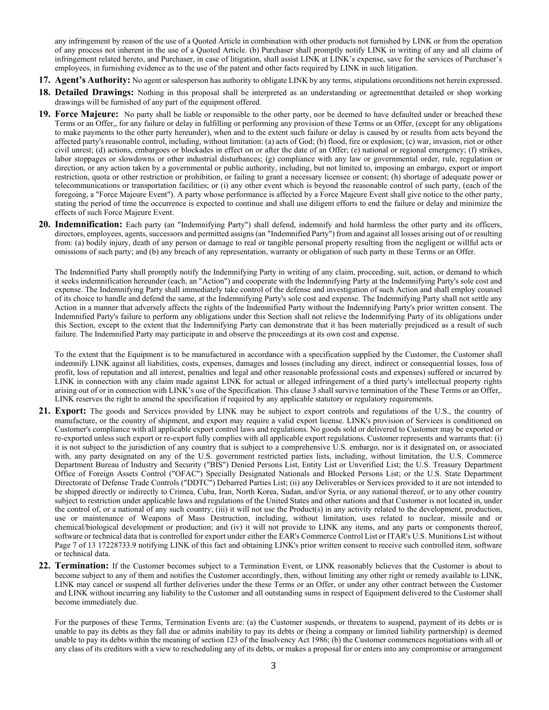any infringement by reason of the use of a Quoted Article in combination with other products not furnished by LINK or from the operation of any process not inherent in the use of a Quoted Article. (b) Purchaser shall promptly notify LINK in writing of any and all claims of infringement related hereto, and Purchaser, in case of litigation, shall assist LINK at LINK's expense, save for the services of Purchaser's employees, in furnishing evidence as to the use of the patent and other facts required by LINK in such litigation.

- **17. Agent's Authority:** No agent or salesperson has authority to obligate LINK by any terms, stipulations orconditions not herein expressed.
- **18. Detailed Drawings:** Nothing in this proposal shall be interpreted as an understanding or agreementthat detailed or shop working drawings will be furnished of any part of the equipment offered.
- **19. Force Majeure:** No party shall be liable or responsible to the other party, nor be deemed to have defaulted under or breached these Terms or an Offer,, for any failure or delay in fulfilling or performing any provision of these Terms or an Offer, (except for any obligations to make payments to the other party hereunder), when and to the extent such failure or delay is caused by or results from acts beyond the affected party's reasonable control, including, without limitation: (a) acts of God; (b) flood, fire or explosion; (c) war, invasion, riot or other civil unrest; (d) actions, embargoes or blockades in effect on or after the date of an Offer; (e) national or regional emergency; (f) strikes, labor stoppages or slowdowns or other industrial disturbances; (g) compliance with any law or governmental order, rule, regulation or direction, or any action taken by a governmental or public authority, including, but not limited to, imposing an embargo, export or import restriction, quota or other restriction or prohibition, or failing to grant a necessary licensee or consent; (h) shortage of adequate power or telecommunications or transportation facilities; or (i) any other event which is beyond the reasonable control of such party, (each of the foregoing, a "Force Majeure Event"). A party whose performance is affected by a Force Majeure Event shall give notice to the other party, stating the period of time the occurrence is expected to continue and shall use diligent efforts to end the failure or delay and minimize the effects of such Force Majeure Event.
- **20. Indemnification:** Each party (an "Indemnifying Party") shall defend, indemnify and hold harmless the other party and its officers, directors, employees, agents, successors and permitted assigns (an "Indemnified Party") from and against all losses arising out of or resulting from: (a) bodily injury, death of any person or damage to real or tangible personal property resulting from the negligent or willful acts or omissions of such party; and (b) any breach of any representation, warranty or obligation of such party in these Terms or an Offer.

The Indemnified Party shall promptly notify the Indemnifying Party in writing of any claim, proceeding, suit, action, or demand to which it seeks indemnification hereunder (each, an "Action") and cooperate with the Indemnifying Party at the Indemnifying Party's sole cost and expense. The Indemnifying Party shall immediately take control of the defense and investigation of such Action and shall employ counsel of its choice to handle and defend the same, at the Indemnifying Party's sole cost and expense. The Indemnifying Party shall not settle any Action in a manner that adversely affects the rights of the Indemnified Party without the Indemnifying Party's prior written consent. The Indemnified Party's failure to perform any obligations under this Section shall not relieve the Indemnifying Party of its obligations under this Section, except to the extent that the Indemnifying Party can demonstrate that it has been materially prejudiced as a result of such failure. The Indemnified Party may participate in and observe the proceedings at its own cost and expense.

To the extent that the Equipment is to be manufactured in accordance with a specification supplied by the Customer, the Customer shall indemnify LINK against all liabilities, costs, expenses, damages and losses (including any direct, indirect or consequential losses, loss of profit, loss of reputation and all interest, penalties and legal and other reasonable professional costs and expenses) suffered or incurred by LINK in connection with any claim made against LINK for actual or alleged infringement of a third party's intellectual property rights arising out of or in connection with LINK's use of the Specification. This clause 3 shall survive termination of the These Terms or an Offer,. LINK reserves the right to amend the specification if required by any applicable statutory or regulatory requirements.

- **21. Export:** The goods and Services provided by LINK may be subject to export controls and regulations of the U.S., the country of manufacture, or the country of shipment, and export may require a valid export license. LINK's provision of Services is conditioned on Customer's compliance with all applicable export control laws and regulations. No goods sold or delivered to Customer may be exported or re-exported unless such export or re-export fully complies with all applicable export regulations. Customer represents and warrants that: (i) it is not subject to the jurisdiction of any country that is subject to a comprehensive U.S. embargo, nor is it designated on, or associated with, any party designated on any of the U.S. government restricted parties lists, including, without limitation, the U.S. Commerce Department Bureau of Industry and Security ("BIS") Denied Persons List, Entity List or Unverified List; the U.S. Treasury Department Office of Foreign Assets Control ("OFAC") Specially Designated Nationals and Blocked Persons List; or the U.S. State Department Directorate of Defense Trade Controls ("DDTC") Debarred Parties List; (ii) any Deliverables or Services provided to it are not intended to be shipped directly or indirectly to Crimea, Cuba, Iran, North Korea, Sudan, and/or Syria, or any national thereof, or to any other country subject to restriction under applicable laws and regulations of the United States and other nations and that Customer is not located in, under the control of, or a national of any such country; (iii) it will not use the Product(s) in any activity related to the development, production, use or maintenance of Weapons of Mass Destruction, including, without limitation, uses related to nuclear, missile and or chemical/biological development or production; and (iv) it will not provide to LINK any items, and any parts or components thereof, software or technical data that is controlled for export under either the EAR's Commerce Control List or ITAR's U.S. Munitions List without Page 7 of 13 17228733.9 notifying LINK of this fact and obtaining LINK's prior written consent to receive such controlled item, software or technical data.
- **22. Termination:** If the Customer becomes subject to a Termination Event, or LINK reasonably believes that the Customer is about to become subject to any of them and notifies the Customer accordingly, then, without limiting any other right or remedy available to LINK, LINK may cancel or suspend all further deliveries under the these Terms or an Offer, or under any other contract between the Customer and LINK without incurring any liability to the Customer and all outstanding sums in respect of Equipment delivered to the Customer shall become immediately due.

For the purposes of these Terms, Termination Events are: (a) the Customer suspends, or threatens to suspend, payment of its debts or is unable to pay its debts as they fall due or admits inability to pay its debts or (being a company or limited liability partnership) is deemed unable to pay its debts within the meaning of section 123 of the Insolvency Act 1986; (b) the Customer commences negotiations with all or any class of its creditors with a view to rescheduling any of its debts, or makes a proposal for or enters into any compromise or arrangement